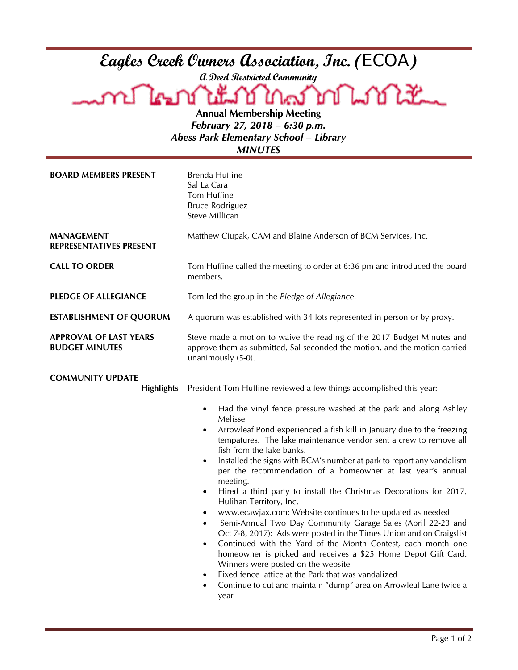| Eagles Creek Owners Association, Inc. (ECOA)<br>non The Text Line<br><b>โครกภ์ใน</b> เ็<br><b>Annual Membership Meeting</b><br>February 27, 2018 - 6:30 p.m.<br><b>Abess Park Elementary School - Library</b><br><b>MINUTES</b> |                                                                                                                                                                                                                                                                                                                                                                                                                                                                                                                                                                                                                                                                                                                                                                                                                                                                                                                                                                                                                                                                                                              |  |
|---------------------------------------------------------------------------------------------------------------------------------------------------------------------------------------------------------------------------------|--------------------------------------------------------------------------------------------------------------------------------------------------------------------------------------------------------------------------------------------------------------------------------------------------------------------------------------------------------------------------------------------------------------------------------------------------------------------------------------------------------------------------------------------------------------------------------------------------------------------------------------------------------------------------------------------------------------------------------------------------------------------------------------------------------------------------------------------------------------------------------------------------------------------------------------------------------------------------------------------------------------------------------------------------------------------------------------------------------------|--|
| <b>BOARD MEMBERS PRESENT</b>                                                                                                                                                                                                    | Brenda Huffine<br>Sal La Cara<br>Tom Huffine<br><b>Bruce Rodriguez</b><br>Steve Millican                                                                                                                                                                                                                                                                                                                                                                                                                                                                                                                                                                                                                                                                                                                                                                                                                                                                                                                                                                                                                     |  |
| <b>MANAGEMENT</b><br><b>REPRESENTATIVES PRESENT</b>                                                                                                                                                                             | Matthew Ciupak, CAM and Blaine Anderson of BCM Services, Inc.                                                                                                                                                                                                                                                                                                                                                                                                                                                                                                                                                                                                                                                                                                                                                                                                                                                                                                                                                                                                                                                |  |
| <b>CALL TO ORDER</b>                                                                                                                                                                                                            | Tom Huffine called the meeting to order at 6:36 pm and introduced the board<br>members.                                                                                                                                                                                                                                                                                                                                                                                                                                                                                                                                                                                                                                                                                                                                                                                                                                                                                                                                                                                                                      |  |
| <b>PLEDGE OF ALLEGIANCE</b>                                                                                                                                                                                                     | Tom led the group in the Pledge of Allegiance.                                                                                                                                                                                                                                                                                                                                                                                                                                                                                                                                                                                                                                                                                                                                                                                                                                                                                                                                                                                                                                                               |  |
| <b>ESTABLISHMENT OF QUORUM</b>                                                                                                                                                                                                  | A quorum was established with 34 lots represented in person or by proxy.                                                                                                                                                                                                                                                                                                                                                                                                                                                                                                                                                                                                                                                                                                                                                                                                                                                                                                                                                                                                                                     |  |
| <b>APPROVAL OF LAST YEARS</b><br><b>BUDGET MINUTES</b>                                                                                                                                                                          | Steve made a motion to waive the reading of the 2017 Budget Minutes and<br>approve them as submitted, Sal seconded the motion, and the motion carried<br>unanimously (5-0).                                                                                                                                                                                                                                                                                                                                                                                                                                                                                                                                                                                                                                                                                                                                                                                                                                                                                                                                  |  |
| <b>COMMUNITY UPDATE</b><br><b>Highlights</b>                                                                                                                                                                                    | President Tom Huffine reviewed a few things accomplished this year:                                                                                                                                                                                                                                                                                                                                                                                                                                                                                                                                                                                                                                                                                                                                                                                                                                                                                                                                                                                                                                          |  |
|                                                                                                                                                                                                                                 | Had the vinyl fence pressure washed at the park and along Ashley<br>Melisse<br>Arrowleaf Pond experienced a fish kill in January due to the freezing<br>٠<br>tempatures. The lake maintenance vendor sent a crew to remove all<br>fish from the lake banks.<br>Installed the signs with BCM's number at park to report any vandalism<br>$\bullet$<br>per the recommendation of a homeowner at last year's annual<br>meeting.<br>Hired a third party to install the Christmas Decorations for 2017,<br>$\bullet$<br>Hulihan Territory, Inc.<br>www.ecawjax.com: Website continues to be updated as needed<br>$\bullet$<br>Semi-Annual Two Day Community Garage Sales (April 22-23 and<br>$\bullet$<br>Oct 7-8, 2017): Ads were posted in the Times Union and on Craigslist<br>Continued with the Yard of the Month Contest, each month one<br>$\bullet$<br>homeowner is picked and receives a \$25 Home Depot Gift Card.<br>Winners were posted on the website<br>Fixed fence lattice at the Park that was vandalized<br>٠<br>Continue to cut and maintain "dump" area on Arrowleaf Lane twice a<br>٠<br>year |  |